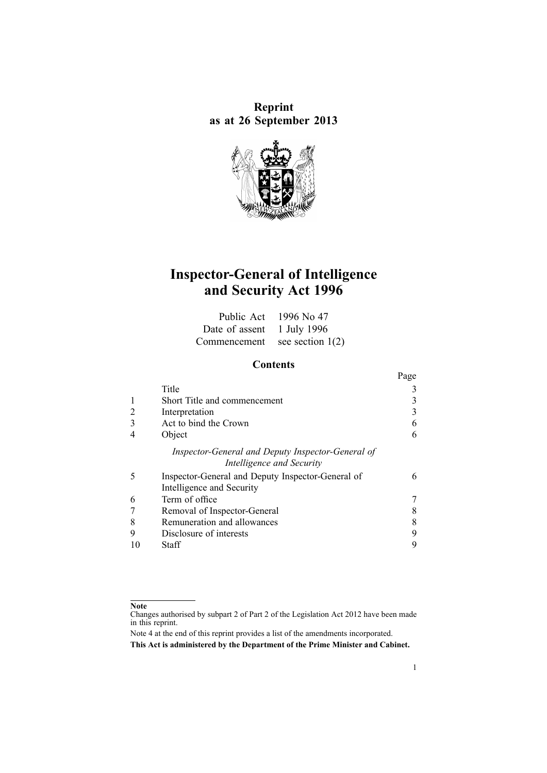**Reprint as at 26 September 2013**



# **Inspector-General of Intelligence and Security Act 1996**

|                                 | Public Act $1996$ No 47 |
|---------------------------------|-------------------------|
| Date of assent 1 July 1996      |                         |
| Commencement see section $1(2)$ |                         |

# **Contents**

|   |                                                   | Page |
|---|---------------------------------------------------|------|
|   | Title                                             |      |
|   | Short Title and commencement                      |      |
|   | Interpretation                                    |      |
|   | Act to bind the Crown                             |      |
|   | Object                                            | 6    |
|   | Inspector-General and Deputy Inspector-General of |      |
|   | Intelligence and Security                         |      |
| 5 | Inspector-General and Deputy Inspector-General of | 6    |
|   | Intelligence and Security                         |      |
| 6 | Term of office                                    |      |
|   | Removal of Inspector-General                      |      |
| 8 | Remuneration and allowances                       |      |
|   | Disclosure of interests                           |      |
|   | Staff                                             |      |

#### **Note**

Changes authorised by [subpart](http://www.legislation.govt.nz/pdflink.aspx?id=DLM2998524) 2 of Part 2 of the Legislation Act 2012 have been made in this reprint.

Note 4 at the end of this reprint provides <sup>a</sup> list of the amendments incorporated. **This Act is administered by the Department of the Prime Minister and Cabinet.**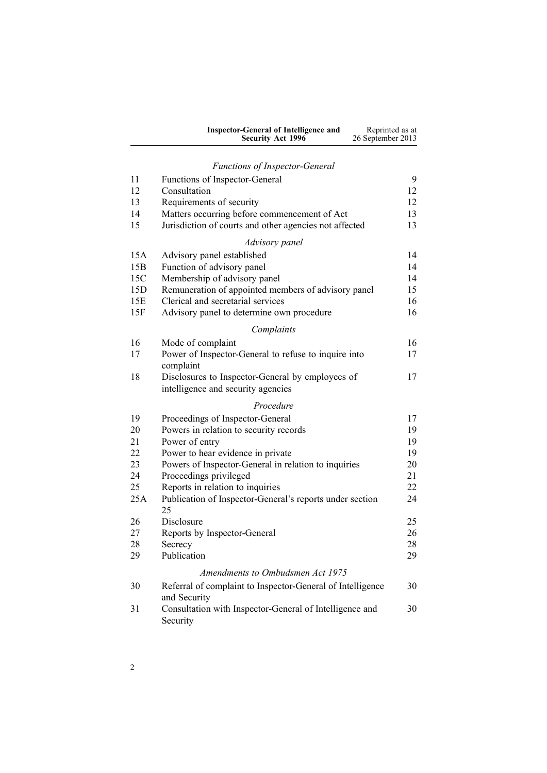| Inspector-General of Intelligence and | Reprinted as at   |
|---------------------------------------|-------------------|
| <b>Security Act 1996</b>              | 26 September 2013 |

# *Functions of [Inspector-General](#page-8-0)*

| 11<br>12 | Functions of Inspector-General<br>Consultation                             | 9<br>12 |
|----------|----------------------------------------------------------------------------|---------|
| 13       | Requirements of security                                                   | 12      |
| 14       | Matters occurring before commencement of Act                               | 13      |
| 15       | Jurisdiction of courts and other agencies not affected                     | 13      |
|          | Advisory panel                                                             |         |
| 15A      | Advisory panel established                                                 | 14      |
| 15B      | Function of advisory panel                                                 | 14      |
| 15C      | Membership of advisory panel                                               | 14      |
| 15D      | Remuneration of appointed members of advisory panel                        | 15      |
| 15E      | Clerical and secretarial services                                          | 16      |
| 15F      | Advisory panel to determine own procedure                                  | 16      |
|          | Complaints                                                                 |         |
| 16       | Mode of complaint                                                          | 16      |
| 17       | Power of Inspector-General to refuse to inquire into                       | 17      |
|          | complaint                                                                  |         |
| 18       | Disclosures to Inspector-General by employees of                           | 17      |
|          | intelligence and security agencies                                         |         |
|          | Procedure                                                                  |         |
| 19       | Proceedings of Inspector-General                                           | 17      |
| 20       | Powers in relation to security records                                     | 19      |
| 21       | Power of entry                                                             | 19      |
| 22       | Power to hear evidence in private                                          | 19      |
| 23       | Powers of Inspector-General in relation to inquiries                       | 20      |
| 24       | Proceedings privileged                                                     | 21      |
| 25       | Reports in relation to inquiries                                           | 22      |
| 25A      | Publication of Inspector-General's reports under section                   | 24      |
|          | 25                                                                         |         |
| 26       | Disclosure                                                                 | 25      |
| 27       | Reports by Inspector-General                                               | 26      |
| 28       | Secrecy                                                                    | 28      |
| 29       | Publication                                                                | 29      |
|          | Amendments to Ombudsmen Act 1975                                           |         |
| 30       | Referral of complaint to Inspector-General of Intelligence<br>and Security | 30      |
| 31       | Consultation with Inspector-General of Intelligence and<br>Security        | 30      |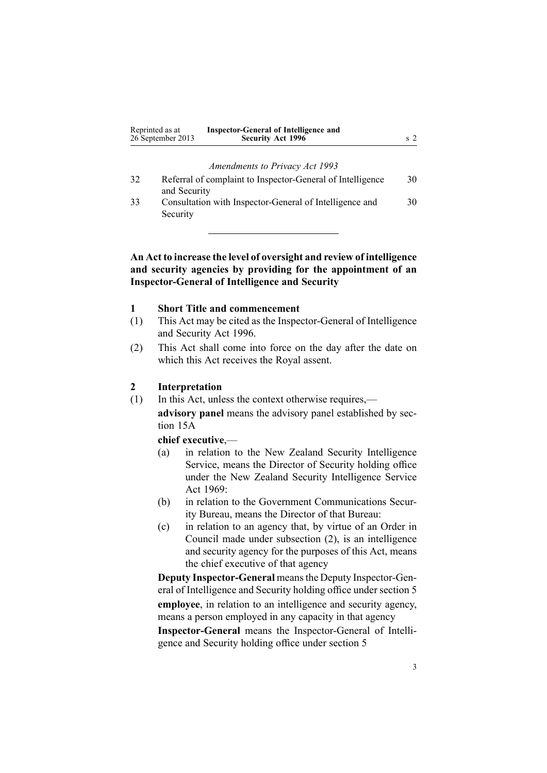<span id="page-2-0"></span>

| Reprinted as at<br>26 September 2013 | <b>Inspector-General of Intelligence and</b><br><b>Security Act 1996</b> |  |
|--------------------------------------|--------------------------------------------------------------------------|--|
|                                      |                                                                          |  |

*[Amendments](#page-29-0) to Privacy Act 1993*

| 32 | Referral of complaint to Inspector-General of Intelligence | 30 |
|----|------------------------------------------------------------|----|
|    | and Security                                               |    |
| 33 | Consultation with Inspector-General of Intelligence and    | 30 |
|    | Security                                                   |    |

**An Act to increase the level of oversight and review of intelligence and security agencies by providing for the appointment of an Inspector-General of Intelligence and Security**

## **1 Short Title and commencement**

- (1) This Act may be cited as the Inspector-General of Intelligence and Security Act 1996.
- (2) This Act shall come into force on the day after the date on which this Act receives the Royal assent.

## **2 Interpretation**

(1) In this Act, unless the context otherwise requires, **advisory panel** means the advisory panel established by [sec](#page-13-0)-

tion [15A](#page-13-0)

#### **chief executive**,—

- (a) in relation to the New Zealand Security Intelligence Service, means the Director of Security holding office under the New Zealand Security [Intelligence](http://www.legislation.govt.nz/pdflink.aspx?id=DLM391605) Service Act [1969](http://www.legislation.govt.nz/pdflink.aspx?id=DLM391605):
- (b) in relation to the Government Communications Security Bureau, means the Director of that Bureau:
- (c) in relation to an agency that, by virtue of an Order in Council made under subsection (2), is an intelligence and security agency for the purposes of this Act, means the chief executive of that agency

**Deputy Inspector-General** meansthe Deputy Inspector-General of Intelligence and Security holding office under [section](#page-5-0) 5 **employee**, in relation to an intelligence and security agency, means <sup>a</sup> person employed in any capacity in that agency

**Inspector-General** means the Inspector-General of Intelligence and Security holding office under [section](#page-5-0) 5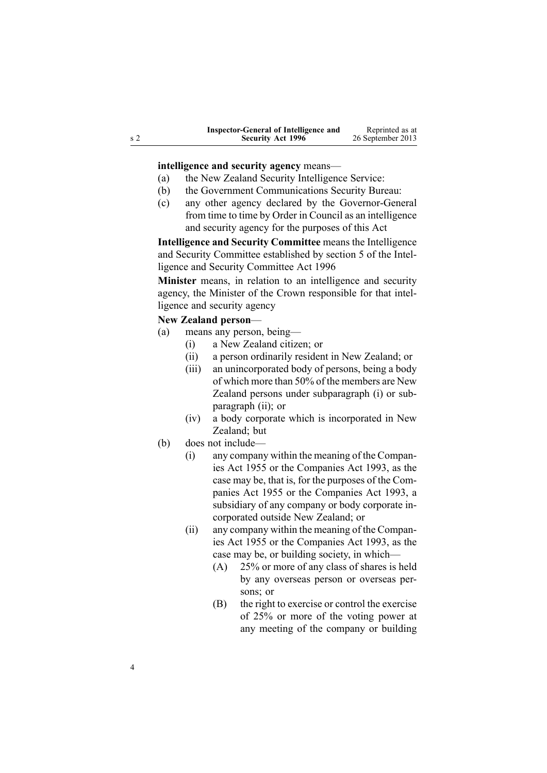**intelligence and security agency** means—

- (a) the New Zealand Security Intelligence Service:
- (b) the Government Communications Security Bureau:
- (c) any other agency declared by the Governor-General from time to time by Order in Council as an intelligence and security agency for the purposes of this Act

**Intelligence and Security Committee** means the Intelligence and Security Committee established by [section](http://www.legislation.govt.nz/pdflink.aspx?id=DLM392266) 5 of the Intelligence and Security Committee Act 1996

**Minister** means, in relation to an intelligence and security agency, the Minister of the Crown responsible for that intelligence and security agency

# **New Zealand person**—

- (a) means any person, being—
	- (i) <sup>a</sup> New Zealand citizen; or
	- (ii) <sup>a</sup> person ordinarily resident in New Zealand; or
	- (iii) an unincorporated body of persons, being <sup>a</sup> body of which more than 50% of the members are New Zealand persons under subparagraph (i) or subparagraph (ii); or
	- (iv) <sup>a</sup> body corporate which is incorporated in New Zealand<sup>-</sup> but
- (b) does not include—
	- (i) any company within the meaning of the Companies Act 1955 or the [Companies](http://www.legislation.govt.nz/pdflink.aspx?id=DLM319569) Act 1993, as the case may be, that is, for the purposes of the Companies Act 1955 or the [Companies](http://www.legislation.govt.nz/pdflink.aspx?id=DLM319569) Act 1993, <sup>a</sup> subsidiary of any company or body corporate incorporated outside New Zealand; or
	- (ii) any company within the meaning of the Companies Act 1955 or the [Companies](http://www.legislation.govt.nz/pdflink.aspx?id=DLM319569) Act 1993, as the case may be, or building society, in which—
		- (A) 25% or more of any class of shares is held by any overseas person or overseas persons; or
		- (B) the right to exercise or control the exercise of 25% or more of the voting power at any meeting of the company or building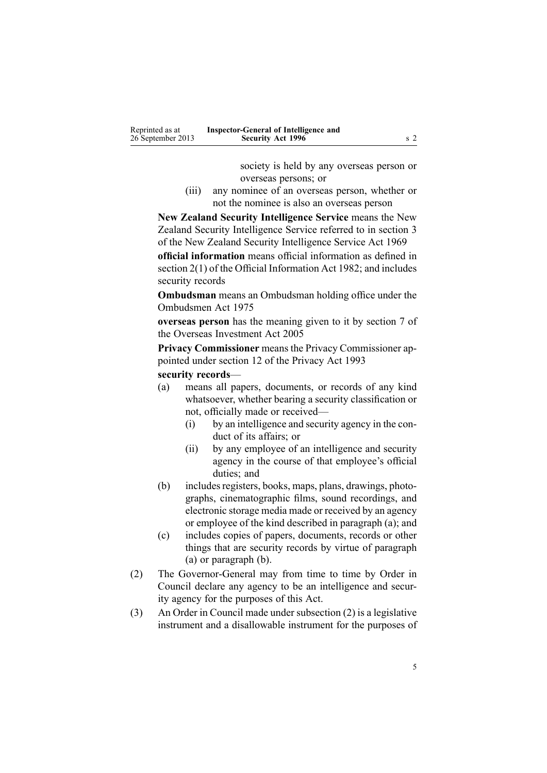society is held by any overseas person or overseas persons; or

(iii) any nominee of an overseas person, whether or not the nominee is also an overseas person

**New Zealand Security Intelligence Service** means the New Zealand Security Intelligence Service referred to in [section](http://www.legislation.govt.nz/pdflink.aspx?id=DLM391803) 3 of the New Zealand Security Intelligence Service Act 1969

**official information** means official information as defined in [section](http://www.legislation.govt.nz/pdflink.aspx?id=DLM65309) 2(1) of the Official Information Act 1982; and includes security records

**Ombudsman** means an Ombudsman holding office under the [Ombudsmen](http://www.legislation.govt.nz/pdflink.aspx?id=DLM430983) Act 1975

**overseas person** has the meaning given to it by [section](http://www.legislation.govt.nz/pdflink.aspx?id=DLM357794) 7 of the Overseas Investment Act 2005

**Privacy Commissioner** means the Privacy Commissioner appointed under [section](http://www.legislation.govt.nz/pdflink.aspx?id=DLM297053) 12 of the Privacy Act 1993

**security records**—

- (a) means all papers, documents, or records of any kind whatsoever, whether bearing <sup>a</sup> security classification or not, officially made or received—
	- (i) by an intelligence and security agency in the conduct of its affairs; or
	- (ii) by any employee of an intelligence and security agency in the course of that employee's official duties; and
- (b) includes registers, books, maps, plans, drawings, photographs, cinematographic films, sound recordings, and electronic storage media made or received by an agency or employee of the kind described in paragraph (a); and
- (c) includes copies of papers, documents, records or other things that are security records by virtue of paragraph (a) or paragraph (b).
- (2) The Governor-General may from time to time by Order in Council declare any agency to be an intelligence and security agency for the purposes of this Act.
- (3) An Order in Council made under subsection (2) is <sup>a</sup> legislative instrument and <sup>a</sup> disallowable instrument for the purposes of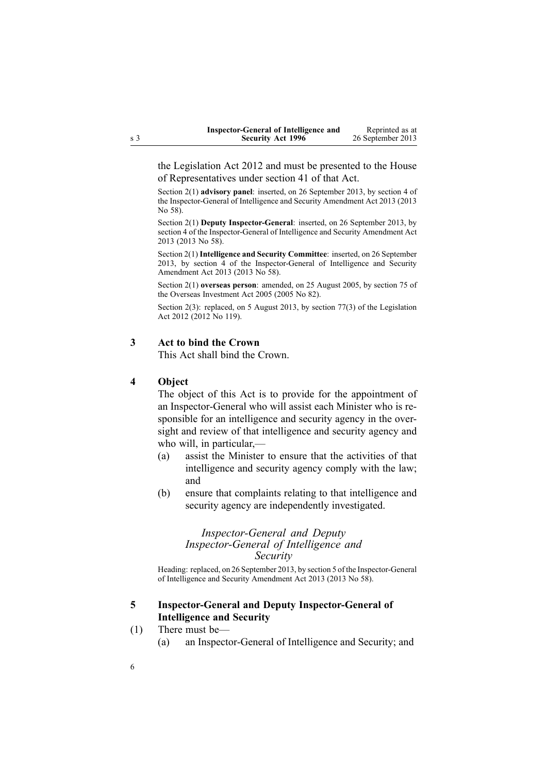<span id="page-5-0"></span>the [Legislation](http://www.legislation.govt.nz/pdflink.aspx?id=DLM2997643) Act 2012 and must be presented to the House of Representatives under [section](http://www.legislation.govt.nz/pdflink.aspx?id=DLM2998573) 41 of that Act.

Section 2(1) **advisory panel**: inserted, on 26 September 2013, by [section](http://www.legislation.govt.nz/pdflink.aspx?id=DLM5495909) 4 of the Inspector-General of Intelligence and Security Amendment Act 2013 (2013 No 58).

Section 2(1) **Deputy Inspector-General**: inserted, on 26 September 2013, by [section](http://www.legislation.govt.nz/pdflink.aspx?id=DLM5495909) 4 of the Inspector-General of Intelligence and Security Amendment Act 2013 (2013 No 58).

Section 2(1) **Intelligence and Security Committee**: inserted, on 26 September 2013, by [section](http://www.legislation.govt.nz/pdflink.aspx?id=DLM5495909) 4 of the Inspector-General of Intelligence and Security Amendment Act 2013 (2013 No 58).

Section 2(1) **overseas person**: amended, on 25 August 2005, by [section](http://www.legislation.govt.nz/pdflink.aspx?id=DLM358540) 75 of the Overseas Investment Act 2005 (2005 No 82).

Section 2(3): replaced, on 5 August 2013, by [section](http://www.legislation.govt.nz/pdflink.aspx?id=DLM2998633) 77(3) of the Legislation Act 2012 (2012 No 119).

#### **3 Act to bind the Crown**

This Act shall bind the Crown.

## **4 Object**

The object of this Act is to provide for the appointment of an Inspector-General who will assist each Minister who is responsible for an intelligence and security agency in the oversight and review of that intelligence and security agency and who will, in particular,—

- (a) assist the Minister to ensure that the activities of that intelligence and security agency comply with the law; and
- (b) ensure that complaints relating to that intelligence and security agency are independently investigated.

## *Inspector-General and Deputy Inspector-General of Intelligence and Security*

Heading: replaced, on 26 September 2013, by [section](http://www.legislation.govt.nz/pdflink.aspx?id=DLM5495916) 5 of the Inspector-General of Intelligence and Security Amendment Act 2013 (2013 No 58).

## **5 Inspector-General and Deputy Inspector-General of Intelligence and Security**

- (1) There must be—
	- (a) an Inspector-General of Intelligence and Security; and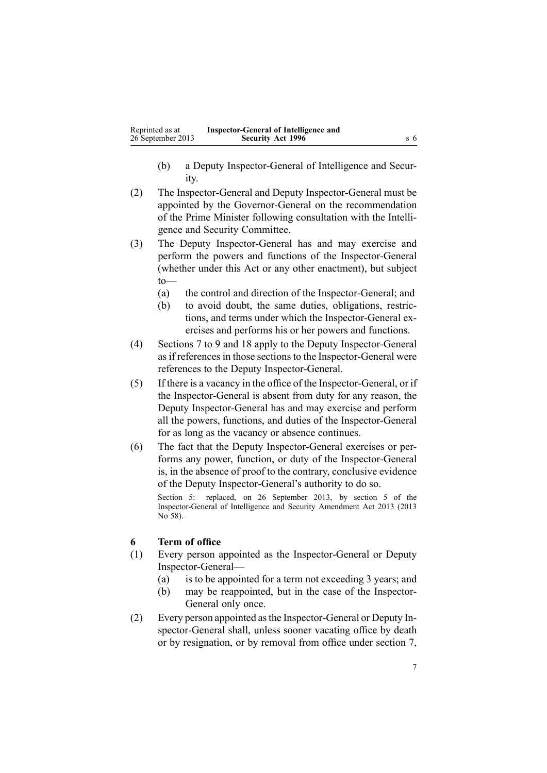- <span id="page-6-0"></span>(b) <sup>a</sup> Deputy Inspector-General of Intelligence and Security.
- (2) The Inspector-General and Deputy Inspector-General must be appointed by the Governor-General on the recommendation of the Prime Minister following consultation with the Intelligence and Security Committee.
- (3) The Deputy Inspector-General has and may exercise and perform the powers and functions of the Inspector-General (whether under this Act or any other enactment), but subject to—
	- (a) the control and direction of the Inspector-General; and
	- (b) to avoid doubt, the same duties, obligations, restrictions, and terms under which the Inspector-General exercises and performs his or her powers and functions.
- (4) [Sections](#page-7-0) 7 to 9 and [18](#page-16-0) apply to the Deputy Inspector-General as if references in those sections to the Inspector-General were references to the Deputy Inspector-General.
- (5) If there is <sup>a</sup> vacancy in the office of the Inspector-General, or if the Inspector-General is absent from duty for any reason, the Deputy Inspector-General has and may exercise and perform all the powers, functions, and duties of the Inspector-General for as long as the vacancy or absence continues.
- (6) The fact that the Deputy Inspector-General exercises or performs any power, function, or duty of the Inspector-General is, in the absence of proof to the contrary, conclusive evidence of the Deputy Inspector-General's authority to do so.

Section 5: replaced, on 26 September 2013, by [section](http://www.legislation.govt.nz/pdflink.aspx?id=DLM5495916) 5 of the Inspector-General of Intelligence and Security Amendment Act 2013 (2013 No 58).

## **6 Term of office**

- (1) Every person appointed as the Inspector-General or Deputy Inspector-General—
	- (a) is to be appointed for <sup>a</sup> term not exceeding 3 years; and
	- (b) may be reappointed, but in the case of the Inspector-General only once.
- (2) Every person appointed asthe Inspector-General or Deputy Inspector-General shall, unless sooner vacating office by death or by resignation, or by removal from office under [section](#page-7-0) 7,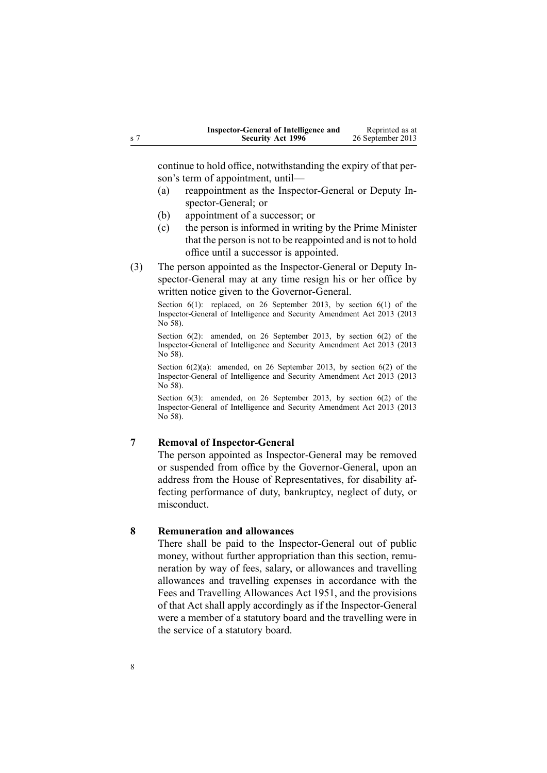<span id="page-7-0"></span>

| Inspector-General of Intelligence and | Reprinted as at   |
|---------------------------------------|-------------------|
| <b>Security Act 1996</b>              | 26 September 2013 |

continue to hold office, notwithstanding the expiry of that person's term of appointment, until—

- (a) reappointment as the Inspector-General or Deputy Inspector-General; or
- (b) appointment of <sup>a</sup> successor; or
- (c) the person is informed in writing by the Prime Minister that the person is not to be reappointed and is not to hold office until <sup>a</sup> successor is appointed.
- (3) The person appointed as the Inspector-General or Deputy Inspector-General may at any time resign his or her office by written notice given to the Governor-General.

Section 6(1): replaced, on 26 September 2013, by [section](http://www.legislation.govt.nz/pdflink.aspx?id=DLM5495919) 6(1) of the Inspector-General of Intelligence and Security Amendment Act 2013 (2013 No 58).

Section 6(2): amended, on 26 September 2013, by [section](http://www.legislation.govt.nz/pdflink.aspx?id=DLM5495919) 6(2) of the Inspector-General of Intelligence and Security Amendment Act 2013 (2013 No 58).

Section  $6(2)(a)$ : amended, on 26 September 2013, by [section](http://www.legislation.govt.nz/pdflink.aspx?id=DLM5495919)  $6(2)$  of the Inspector-General of Intelligence and Security Amendment Act 2013 (2013 No 58).

Section 6(3): amended, on 26 September 2013, by [section](http://www.legislation.govt.nz/pdflink.aspx?id=DLM5495919) 6(2) of the Inspector-General of Intelligence and Security Amendment Act 2013 (2013 No 58).

# **7 Removal of Inspector-General**

The person appointed as Inspector-General may be removed or suspended from office by the Governor-General, upon an address from the House of Representatives, for disability affecting performance of duty, bankruptcy, neglect of duty, or misconduct.

#### **8 Remuneration and allowances**

There shall be paid to the Inspector-General out of public money, without further appropriation than this section, remuneration by way of fees, salary, or allowances and travelling allowances and travelling expenses in accordance with the Fees and [Travelling](http://www.legislation.govt.nz/pdflink.aspx?id=DLM264952) Allowances Act 1951, and the provisions of that Act shall apply accordingly as if the Inspector-General were <sup>a</sup> member of <sup>a</sup> statutory board and the travelling were in the service of <sup>a</sup> statutory board.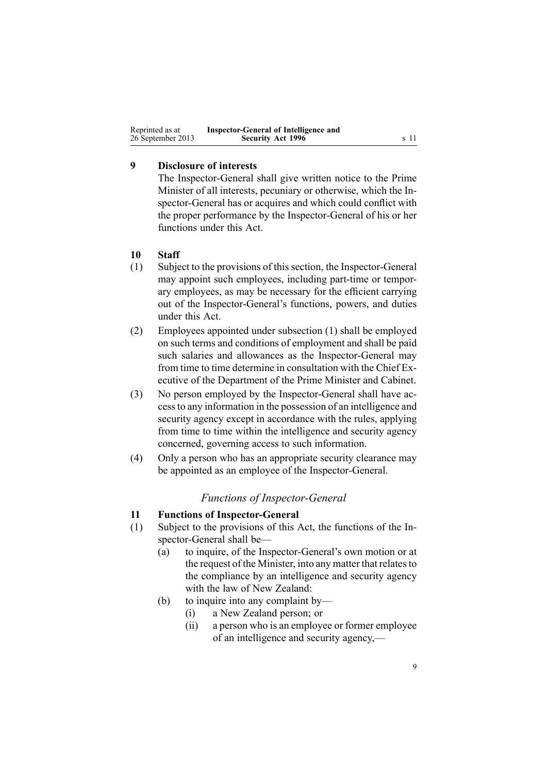<span id="page-8-0"></span>

| Reprinted as at   | Inspector-General of Intelligence and |      |
|-------------------|---------------------------------------|------|
| 26 September 2013 | <b>Security Act 1996</b>              | s 11 |

# **9 Disclosure of interests**

The Inspector-General shall give written notice to the Prime Minister of all interests, pecuniary or otherwise, which the Inspector-General has or acquires and which could conflict with the proper performance by the Inspector-General of his or her functions under this Act.

# **10 Staff**

- (1) Subject to the provisions of this section, the Inspector-General may appoint such employees, including part-time or temporary employees, as may be necessary for the efficient carrying out of the Inspector-General's functions, powers, and duties under this Act.
- (2) Employees appointed under subsection (1) shall be employed on such terms and conditions of employment and shall be paid such salaries and allowances as the Inspector-General may from time to time determine in consultation with the Chief Executive of the Department of the Prime Minister and Cabinet.
- (3) No person employed by the Inspector-General shall have accessto any information in the possession of an intelligence and security agency excep<sup>t</sup> in accordance with the rules, applying from time to time within the intelligence and security agency concerned, governing access to such information.
- (4) Only <sup>a</sup> person who has an appropriate security clearance may be appointed as an employee of the Inspector-General.

# *Functions of Inspector-General*

## **11 Functions of Inspector-General**

- (1) Subject to the provisions of this Act, the functions of the Inspector-General shall be—
	- (a) to inquire, of the Inspector-General's own motion or at the request of the Minister, into any matter that relates to the compliance by an intelligence and security agency with the law of New Zealand:
	- (b) to inquire into any complaint by—
		- (i) <sup>a</sup> New Zealand person; or
		- (ii) <sup>a</sup> person who is an employee or former employee of an intelligence and security agency,—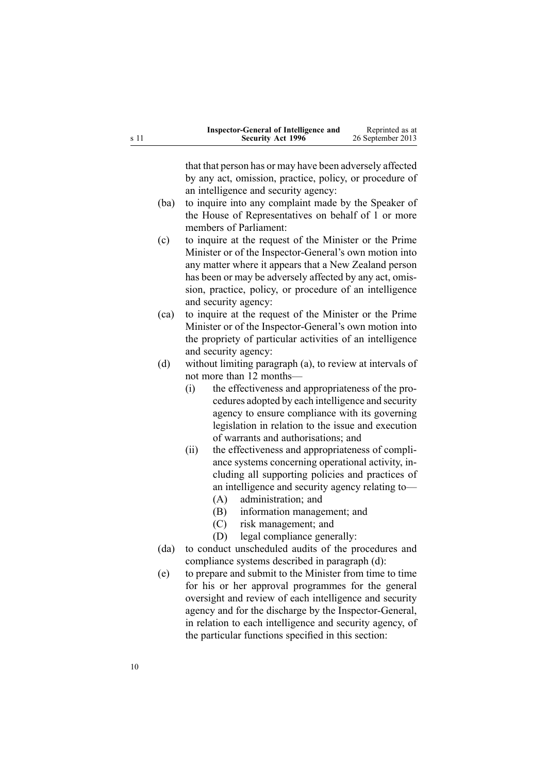| Inspector-General of Intelligence and | Reprinted as at   |
|---------------------------------------|-------------------|
| <b>Security Act 1996</b>              | 26 September 2013 |

that that person has or may have been adversely affected by any act, omission, practice, policy, or procedure of an intelligence and security agency:

- (ba) to inquire into any complaint made by the Speaker of the House of Representatives on behalf of 1 or more members of Parliament:
- (c) to inquire at the reques<sup>t</sup> of the Minister or the Prime Minister or of the Inspector-General's own motion into any matter where it appears that <sup>a</sup> New Zealand person has been or may be adversely affected by any act, omission, practice, policy, or procedure of an intelligence and security agency:
- (ca) to inquire at the reques<sup>t</sup> of the Minister or the Prime Minister or of the Inspector-General's own motion into the propriety of particular activities of an intelligence and security agency:
- (d) without limiting paragraph (a), to review at intervals of not more than 12 months—
	- (i) the effectiveness and appropriateness of the procedures adopted by each intelligence and security agency to ensure compliance with its governing legislation in relation to the issue and execution of warrants and authorisations; and
	- (ii) the effectiveness and appropriateness of compliance systems concerning operational activity, including all supporting policies and practices of an intelligence and security agency relating to—
		- (A) administration; and
		- (B) information management; and
		- (C) risk management; and
		- (D) legal compliance generally:
- (da) to conduct unscheduled audits of the procedures and compliance systems described in paragraph (d):
- (e) to prepare and submit to the Minister from time to time for his or her approval programmes for the general oversight and review of each intelligence and security agency and for the discharge by the Inspector-General, in relation to each intelligence and security agency, of the particular functions specified in this section: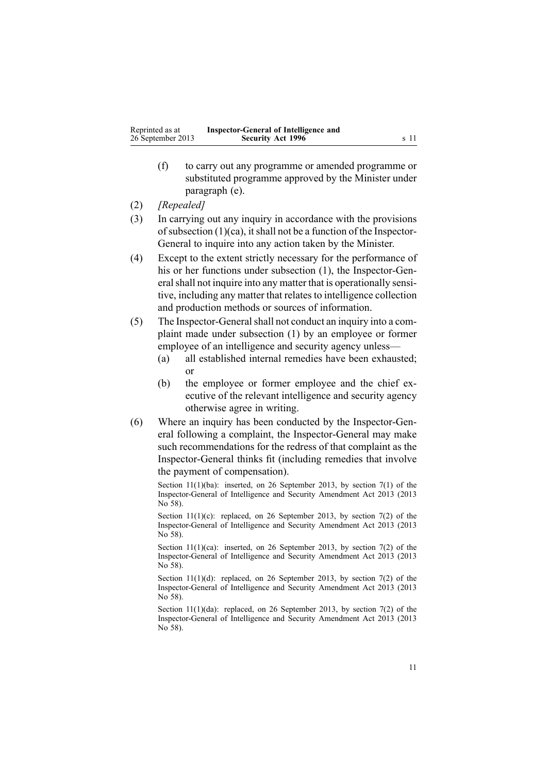- (f) to carry out any programme or amended programme or substituted programme approved by the Minister under paragraph (e).
- (2) *[Repealed]*
- (3) In carrying out any inquiry in accordance with the provisions of subsection  $(1)(ca)$ , it shall not be a function of the Inspector-General to inquire into any action taken by the Minister.
- (4) Except to the extent strictly necessary for the performance of his or her functions under subsection (1), the Inspector-General shall not inquire into any matter that is operationally sensitive, including any matter that relates to intelligence collection and production methods or sources of information.
- (5) The Inspector-Generalshall not conduct an inquiry into <sup>a</sup> complaint made under subsection (1) by an employee or former employee of an intelligence and security agency unless—
	- (a) all established internal remedies have been exhausted; or
	- (b) the employee or former employee and the chief executive of the relevant intelligence and security agency otherwise agree in writing.
- (6) Where an inquiry has been conducted by the Inspector-General following <sup>a</sup> complaint, the Inspector-General may make such recommendations for the redress of that complaint as the Inspector-General thinks fit (including remedies that involve the paymen<sup>t</sup> of compensation).

Section  $11(1)(ba)$ : inserted, on 26 September 2013, by [section](http://www.legislation.govt.nz/pdflink.aspx?id=DLM5495920) 7(1) of the Inspector-General of Intelligence and Security Amendment Act 2013 (2013 No 58).

Section 11(1)(c): replaced, on 26 September 2013, by [section](http://www.legislation.govt.nz/pdflink.aspx?id=DLM5495920) 7(2) of the Inspector-General of Intelligence and Security Amendment Act 2013 (2013 No 58).

Section 11(1)(ca): inserted, on 26 September 2013, by [section](http://www.legislation.govt.nz/pdflink.aspx?id=DLM5495920) 7(2) of the Inspector-General of Intelligence and Security Amendment Act 2013 (2013 No 58).

Section  $11(1)(d)$ : replaced, on 26 September 2013, by [section](http://www.legislation.govt.nz/pdflink.aspx?id=DLM5495920) 7(2) of the Inspector-General of Intelligence and Security Amendment Act 2013 (2013 No 58).

Section 11(1)(da): replaced, on 26 September 2013, by [section](http://www.legislation.govt.nz/pdflink.aspx?id=DLM5495920) 7(2) of the Inspector-General of Intelligence and Security Amendment Act 2013 (2013 No 58).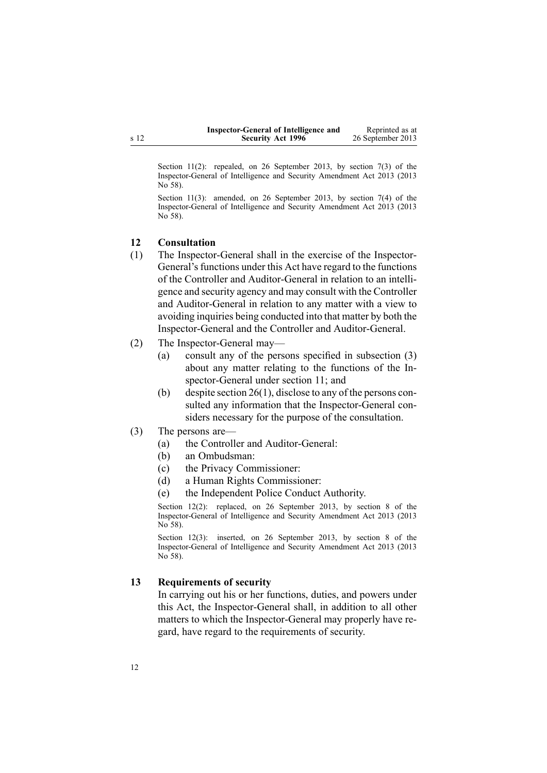| Inspector-General of Intelligence and | Reprinted as at   |
|---------------------------------------|-------------------|
| <b>Security Act 1996</b>              | 26 September 2013 |

<span id="page-11-0"></span>Section 11(2): repealed, on 26 September 2013, by [section](http://www.legislation.govt.nz/pdflink.aspx?id=DLM5495920) 7(3) of the Inspector-General of Intelligence and Security Amendment Act 2013 (2013 No 58).

Section 11(3): amended, on 26 September 2013, by [section](http://www.legislation.govt.nz/pdflink.aspx?id=DLM5495920) 7(4) of the Inspector-General of Intelligence and Security Amendment Act 2013 (2013 No 58).

#### **12 Consultation**

- (1) The Inspector-General shall in the exercise of the Inspector-General's functions under this Act have regard to the functions of the Controller and Auditor-General in relation to an intelligence and security agency and may consult with the Controller and Auditor-General in relation to any matter with <sup>a</sup> view to avoiding inquiries being conducted into that matter by both the Inspector-General and the Controller and Auditor-General.
- (2) The Inspector-General may—
	- (a) consult any of the persons specified in subsection (3) about any matter relating to the functions of the Inspector-General under [section](#page-8-0) 11; and
	- (b) despite [section](http://www.legislation.govt.nz/pdflink.aspx?id=DLM392545) 26(1), disclose to any of the persons consulted any information that the Inspector-General considers necessary for the purpose of the consultation.
- (3) The persons are—
	- (a) the Controller and Auditor-General:
	- (b) an Ombudsman:
	- (c) the Privacy Commissioner:
	- (d) <sup>a</sup> Human Rights Commissioner:
	- (e) the Independent Police Conduct Authority.

Section 12(2): replaced, on 26 September 2013, by [section](http://www.legislation.govt.nz/pdflink.aspx?id=DLM5495921) 8 of the Inspector-General of Intelligence and Security Amendment Act 2013 (2013 No 58).

Section 12(3): inserted, on 26 September 2013, by [section](http://www.legislation.govt.nz/pdflink.aspx?id=DLM5495921) 8 of the Inspector-General of Intelligence and Security Amendment Act 2013 (2013 No 58).

#### **13 Requirements of security**

In carrying out his or her functions, duties, and powers under this Act, the Inspector-General shall, in addition to all other matters to which the Inspector-General may properly have regard, have regard to the requirements of security.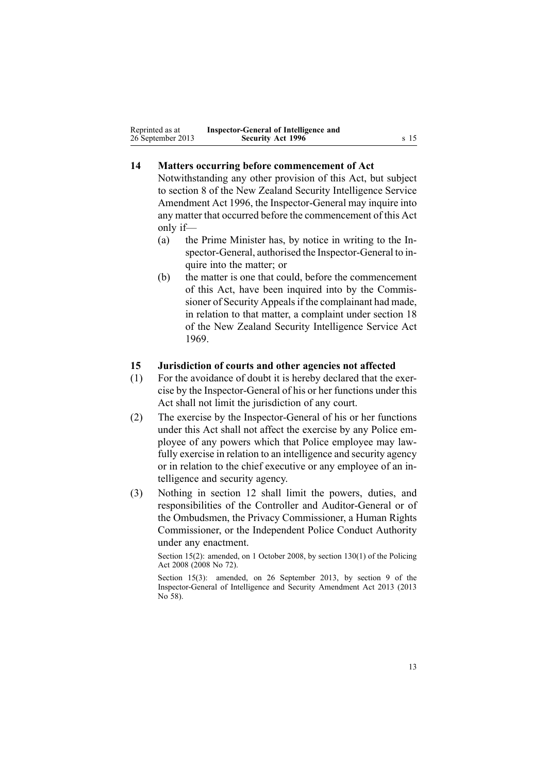<span id="page-12-0"></span>

| Reprinted as at   | Inspector-General of Intelligence and |      |
|-------------------|---------------------------------------|------|
| 26 September 2013 | <b>Security Act 1996</b>              | s 15 |

# **14 Matters occurring before commencement of Act**

Notwithstanding any other provision of this Act, but subject to [section](http://www.legislation.govt.nz/pdflink.aspx?id=DLM392574) 8 of the New Zealand Security Intelligence Service Amendment Act 1996, the Inspector-General may inquire into any matter that occurred before the commencement of this Act only if—

- (a) the Prime Minister has, by notice in writing to the Inspector-General, authorised the Inspector-General to inquire into the matter; or
- (b) the matter is one that could, before the commencement of this Act, have been inquired into by the Commissioner of Security Appeals if the complainant had made, in relation to that matter, <sup>a</sup> complaint under [section](http://www.legislation.govt.nz/pdflink.aspx?id=DLM392033) 18 of the New Zealand Security Intelligence Service Act 1969.

#### **15 Jurisdiction of courts and other agencies not affected**

- (1) For the avoidance of doubt it is hereby declared that the exercise by the Inspector-General of his or her functions under this Act shall not limit the jurisdiction of any court.
- (2) The exercise by the Inspector-General of his or her functions under this Act shall not affect the exercise by any Police employee of any powers which that Police employee may lawfully exercise in relation to an intelligence and security agency or in relation to the chief executive or any employee of an intelligence and security agency.
- (3) Nothing in [section](#page-11-0) 12 shall limit the powers, duties, and responsibilities of the Controller and Auditor-General or of the Ombudsmen, the Privacy Commissioner, <sup>a</sup> Human Rights Commissioner, or the Independent Police Conduct Authority under any enactment.

Section 15(2): amended, on 1 October 2008, by section [130\(1\)](http://www.legislation.govt.nz/pdflink.aspx?id=DLM1102383) of the Policing Act 2008 (2008 No 72).

Section 15(3): amended, on 26 September 2013, by [section](http://www.legislation.govt.nz/pdflink.aspx?id=DLM5495922) 9 of the Inspector-General of Intelligence and Security Amendment Act 2013 (2013 No 58).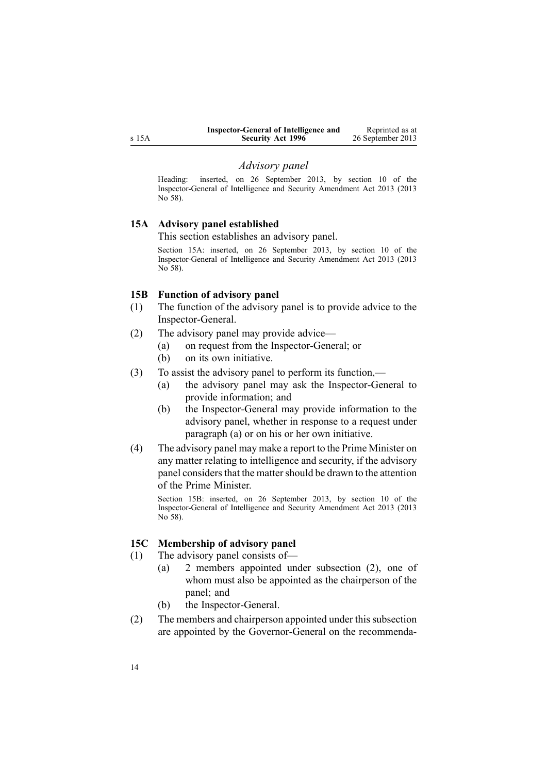<span id="page-13-0"></span>

| Inspector-General of Intelligence and | Reprinted as at   |
|---------------------------------------|-------------------|
| <b>Security Act 1996</b>              | 26 September 2013 |

#### *Advisory panel*

Heading: inserted, on 26 September 2013, by [section](http://www.legislation.govt.nz/pdflink.aspx?id=DLM5495923) 10 of the Inspector-General of Intelligence and Security Amendment Act 2013 (2013 No 58).

#### **15A Advisory panel established**

This section establishes an advisory panel.

Section 15A: inserted, on 26 September 2013, by [section](http://www.legislation.govt.nz/pdflink.aspx?id=DLM5495923) 10 of the Inspector-General of Intelligence and Security Amendment Act 2013 (2013 No 58).

#### **15B Function of advisory panel**

- (1) The function of the advisory panel is to provide advice to the Inspector-General.
- (2) The advisory panel may provide advice—
	- (a) on reques<sup>t</sup> from the Inspector-General; or
	- (b) on its own initiative.
- (3) To assist the advisory panel to perform its function,—
	- (a) the advisory panel may ask the Inspector-General to provide information; and
	- (b) the Inspector-General may provide information to the advisory panel, whether in response to <sup>a</sup> reques<sup>t</sup> under paragraph (a) or on his or her own initiative.
- (4) The advisory panel may make <sup>a</sup> repor<sup>t</sup> to the Prime Minister on any matter relating to intelligence and security, if the advisory panel considers that the matter should be drawn to the attention of the Prime Minister.

Section 15B: inserted, on 26 September 2013, by [section](http://www.legislation.govt.nz/pdflink.aspx?id=DLM5495923) 10 of the Inspector-General of Intelligence and Security Amendment Act 2013 (2013 No 58).

## **15C Membership of advisory panel**

- (1) The advisory panel consists of—
	- (a) 2 members appointed under subsection (2), one of whom must also be appointed as the chairperson of the panel; and
	- (b) the Inspector-General.
- (2) The members and chairperson appointed under this subsection are appointed by the Governor-General on the recommenda-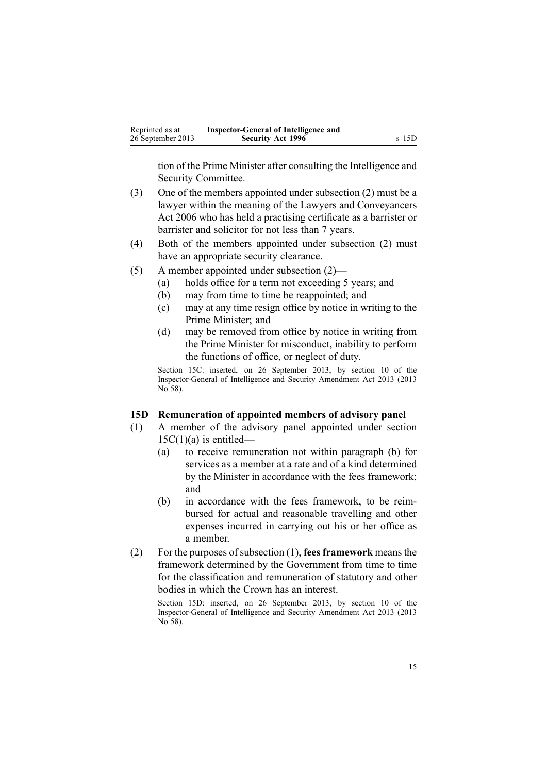<span id="page-14-0"></span>tion of the Prime Minister after consulting the Intelligence and Security Committee.

- (3) One of the members appointed under subsection (2) must be <sup>a</sup> lawyer within the meaning of the Lawyers and [Conveyancers](http://www.legislation.govt.nz/pdflink.aspx?id=DLM364938) Act [2006](http://www.legislation.govt.nz/pdflink.aspx?id=DLM364938) who has held <sup>a</sup> practising certificate as <sup>a</sup> barrister or barrister and solicitor for not less than 7 years.
- (4) Both of the members appointed under subsection (2) must have an appropriate security clearance.
- (5) A member appointed under subsection (2)—
	- (a) holds office for <sup>a</sup> term not exceeding 5 years; and
	- (b) may from time to time be reappointed; and
	- (c) may at any time resign office by notice in writing to the Prime Minister; and
	- (d) may be removed from office by notice in writing from the Prime Minister for misconduct, inability to perform the functions of office, or neglect of duty.

Section 15C: inserted, on 26 September 2013, by [section](http://www.legislation.govt.nz/pdflink.aspx?id=DLM5495923) 10 of the Inspector-General of Intelligence and Security Amendment Act 2013 (2013 No 58).

#### **15D Remuneration of appointed members of advisory panel**

- (1) A member of the advisory panel appointed under [section](#page-13-0)  $15C(1)(a)$  is entitled—
	- (a) to receive remuneration not within paragraph (b) for services as <sup>a</sup> member at <sup>a</sup> rate and of <sup>a</sup> kind determined by the Minister in accordance with the fees framework; and
	- (b) in accordance with the fees framework, to be reimbursed for actual and reasonable travelling and other expenses incurred in carrying out his or her office as <sup>a</sup> member.
- (2) For the purposes of subsection (1), **fees framework** means the framework determined by the Government from time to time for the classification and remuneration of statutory and other bodies in which the Crown has an interest.

Section 15D: inserted, on 26 September 2013, by [section](http://www.legislation.govt.nz/pdflink.aspx?id=DLM5495923) 10 of the Inspector-General of Intelligence and Security Amendment Act 2013 (2013 No 58).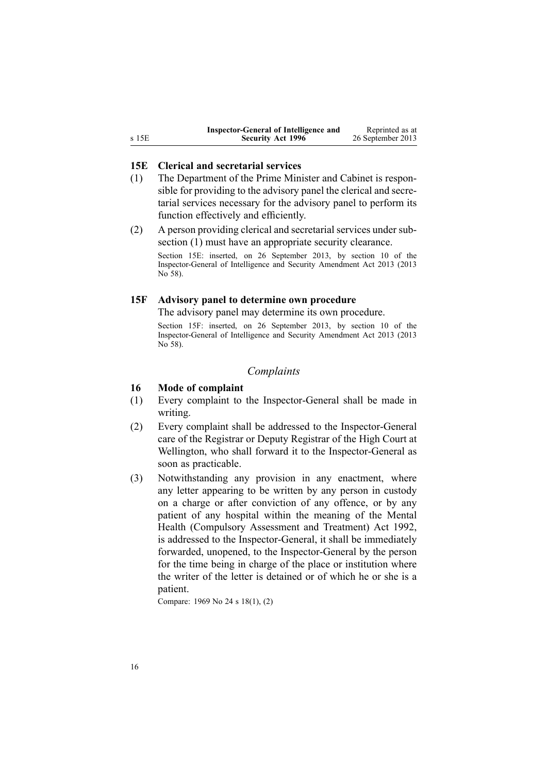<span id="page-15-0"></span>

|       | Inspector-General of Intelligence and | Reprinted as at   |
|-------|---------------------------------------|-------------------|
| s 15E | <b>Security Act 1996</b>              | 26 September 2013 |

## **15E Clerical and secretarial services**

- (1) The Department of the Prime Minister and Cabinet is responsible for providing to the advisory panel the clerical and secretarial services necessary for the advisory panel to perform its function effectively and efficiently.
- (2) A person providing clerical and secretarial services under subsection (1) must have an appropriate security clearance.

Section 15E: inserted, on 26 September 2013, by [section](http://www.legislation.govt.nz/pdflink.aspx?id=DLM5495923) 10 of the Inspector-General of Intelligence and Security Amendment Act 2013 (2013 No 58).

#### **15F Advisory panel to determine own procedure**

The advisory panel may determine its own procedure.

Section 15F: inserted, on 26 September 2013, by [section](http://www.legislation.govt.nz/pdflink.aspx?id=DLM5495923) 10 of the Inspector-General of Intelligence and Security Amendment Act 2013 (2013 No 58).

## *Complaints*

## **16 Mode of complaint**

- (1) Every complaint to the Inspector-General shall be made in writing.
- (2) Every complaint shall be addressed to the Inspector-General care of the Registrar or Deputy Registrar of the High Court at Wellington, who shall forward it to the Inspector-General as soon as practicable.
- (3) Notwithstanding any provision in any enactment, where any letter appearing to be written by any person in custody on <sup>a</sup> charge or after conviction of any offence, or by any patient of any hospital within the meaning of the [Mental](http://www.legislation.govt.nz/pdflink.aspx?id=DLM262706) Health [\(Compulsory](http://www.legislation.govt.nz/pdflink.aspx?id=DLM262706) Assessment and Treatment) Act 1992, is addressed to the Inspector-General, it shall be immediately forwarded, unopened, to the Inspector-General by the person for the time being in charge of the place or institution where the writer of the letter is detained or of which he or she is <sup>a</sup> patient.

Compare: 1969 No 24 <sup>s</sup> [18\(1\),](http://www.legislation.govt.nz/pdflink.aspx?id=DLM392033) (2)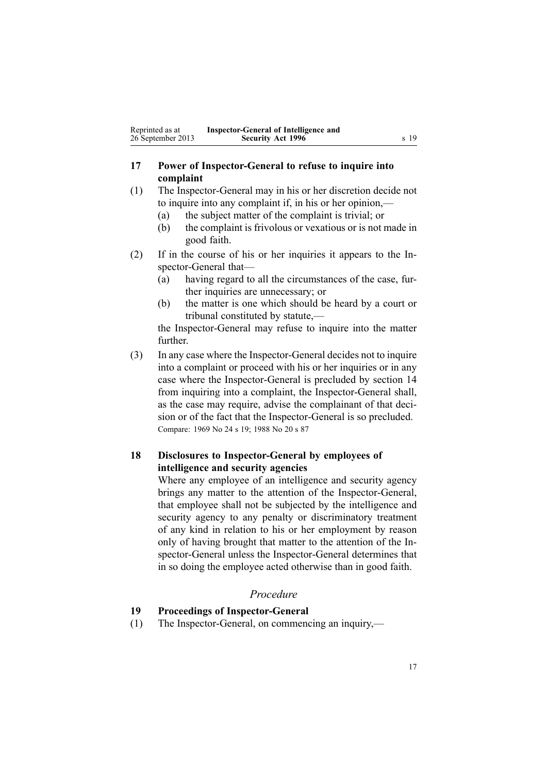## <span id="page-16-0"></span>**17 Power of Inspector-General to refuse to inquire into complaint**

- (1) The Inspector-General may in his or her discretion decide not to inquire into any complaint if, in his or her opinion,—
	- (a) the subject matter of the complaint is trivial; or
	- (b) the complaint is frivolous or vexatious or is not made in good faith.
- (2) If in the course of his or her inquiries it appears to the Inspector-General that—
	- (a) having regard to all the circumstances of the case, further inquiries are unnecessary; or
	- (b) the matter is one which should be heard by <sup>a</sup> court or tribunal constituted by statute,—

the Inspector-General may refuse to inquire into the matter further.

(3) In any case where the Inspector-General decides not to inquire into <sup>a</sup> complaint or proceed with his or her inquiries or in any case where the Inspector-General is precluded by [section](#page-12-0) 14 from inquiring into <sup>a</sup> complaint, the Inspector-General shall, as the case may require, advise the complainant of that decision or of the fact that the Inspector-General is so precluded. Compare: 1969 No 24 <sup>s</sup> [19](http://www.legislation.govt.nz/pdflink.aspx?id=DLM392036); 1988 No 20 <sup>s</sup> [87](http://www.legislation.govt.nz/pdflink.aspx?id=DLM130374)

# **18 Disclosures to Inspector-General by employees of intelligence and security agencies**

Where any employee of an intelligence and security agency brings any matter to the attention of the Inspector-General, that employee shall not be subjected by the intelligence and security agency to any penalty or discriminatory treatment of any kind in relation to his or her employment by reason only of having brought that matter to the attention of the Inspector-General unless the Inspector-General determines that in so doing the employee acted otherwise than in good faith.

## *Procedure*

# **19 Proceedings of Inspector-General**

(1) The Inspector-General, on commencing an inquiry,—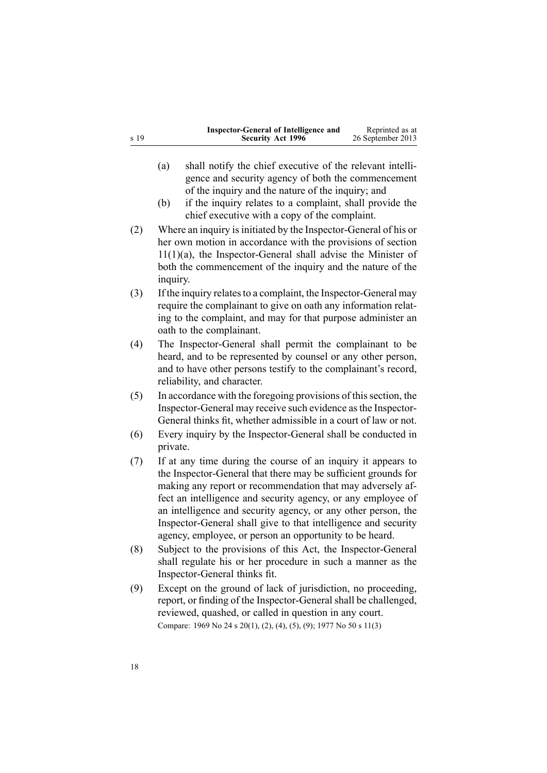|      | Inspector-General of Intelligence and | Reprinted as at   |
|------|---------------------------------------|-------------------|
| s 19 | <b>Security Act 1996</b>              | 26 September 2013 |

- (a) shall notify the chief executive of the relevant intelligence and security agency of both the commencement of the inquiry and the nature of the inquiry; and
- (b) if the inquiry relates to <sup>a</sup> complaint, shall provide the chief executive with <sup>a</sup> copy of the complaint.
- (2) Where an inquiry is initiated by the Inspector-General of his or her own motion in accordance with the provisions of [section](#page-8-0)  $11(1)(a)$ , the Inspector-General shall advise the Minister of both the commencement of the inquiry and the nature of the inquiry.
- (3) If the inquiry relatesto <sup>a</sup> complaint, the Inspector-General may require the complainant to give on oath any information relating to the complaint, and may for that purpose administer an oath to the complainant.
- (4) The Inspector-General shall permit the complainant to be heard, and to be represented by counsel or any other person, and to have other persons testify to the complainant's record, reliability, and character.
- $(5)$  In accordance with the foregoing provisions of this section, the Inspector-General may receive such evidence asthe Inspector-General thinks fit, whether admissible in <sup>a</sup> court of law or not.
- (6) Every inquiry by the Inspector-General shall be conducted in private.
- (7) If at any time during the course of an inquiry it appears to the Inspector-General that there may be sufficient grounds for making any repor<sup>t</sup> or recommendation that may adversely affect an intelligence and security agency, or any employee of an intelligence and security agency, or any other person, the Inspector-General shall give to that intelligence and security agency, employee, or person an opportunity to be heard.
- (8) Subject to the provisions of this Act, the Inspector-General shall regulate his or her procedure in such <sup>a</sup> manner as the Inspector-General thinks fit.
- (9) Except on the ground of lack of jurisdiction, no proceeding, report, or finding of the Inspector-General shall be challenged, reviewed, quashed, or called in question in any court. Compare: 1969 No 24 <sup>s</sup> [20\(1\),](http://www.legislation.govt.nz/pdflink.aspx?id=DLM392040) (2), (4), (5), (9); 1977 No 50 <sup>s</sup> 11(3)

18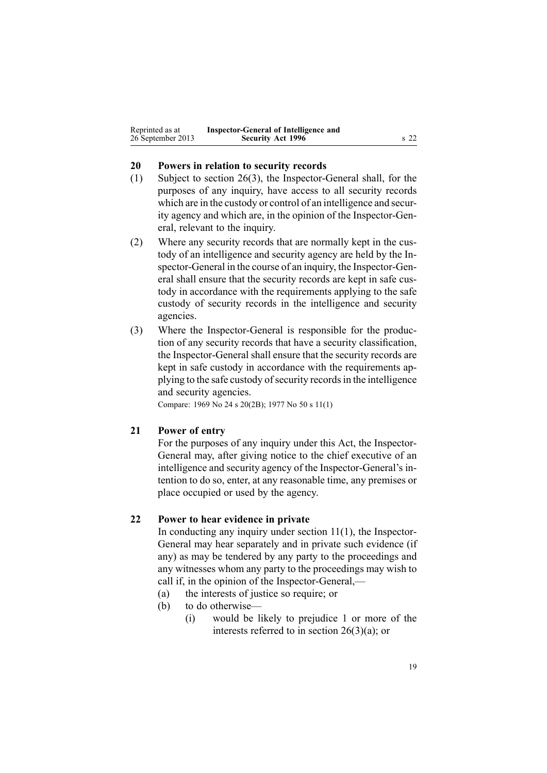<span id="page-18-0"></span>

| Reprinted as at   | Inspector-General of Intelligence and |                 |
|-------------------|---------------------------------------|-----------------|
| 26 September 2013 | <b>Security Act 1996</b>              | s <sub>22</sub> |

## **20 Powers in relation to security records**

- (1) Subject to [section](#page-24-0) 26(3), the Inspector-General shall, for the purposes of any inquiry, have access to all security records which are in the custody or control of an intelligence and security agency and which are, in the opinion of the Inspector-General, relevant to the inquiry.
- (2) Where any security records that are normally kept in the custody of an intelligence and security agency are held by the Inspector-General in the course of an inquiry, the Inspector-General shall ensure that the security records are kept in safe custody in accordance with the requirements applying to the safe custody of security records in the intelligence and security agencies.
- (3) Where the Inspector-General is responsible for the production of any security records that have <sup>a</sup> security classification, the Inspector-General shall ensure that the security records are kept in safe custody in accordance with the requirements applying to the safe custody of security records in the intelligence and security agencies.

Compare: 1969 No 24 <sup>s</sup> [20\(2B\)](http://www.legislation.govt.nz/pdflink.aspx?id=DLM392040); 1977 No 50 <sup>s</sup> 11(1)

# **21 Power of entry**

For the purposes of any inquiry under this Act, the Inspector-General may, after giving notice to the chief executive of an intelligence and security agency of the Inspector-General's intention to do so, enter, at any reasonable time, any premises or place occupied or used by the agency.

## **22 Power to hear evidence in private**

In conducting any inquiry under [section](#page-8-0)  $11(1)$ , the Inspector-General may hear separately and in private such evidence (if any) as may be tendered by any party to the proceedings and any witnesses whom any party to the proceedings may wish to call if, in the opinion of the Inspector-General,—

- (a) the interests of justice so require; or
- (b) to do otherwise-
	- (i) would be likely to prejudice 1 or more of the interests referred to in section [26\(3\)\(a\)](#page-24-0); or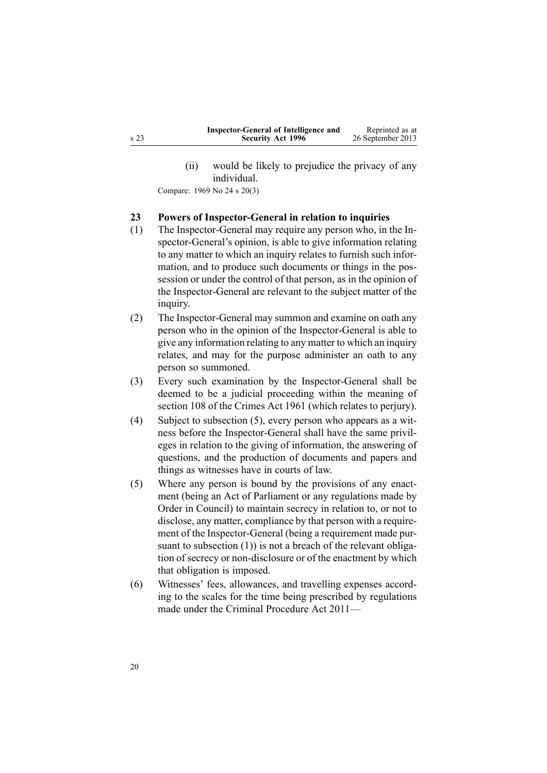(ii) would be likely to prejudice the privacy of any individual.

<span id="page-19-0"></span>Compare: 1969 No 24 <sup>s</sup> [20\(3\)](http://www.legislation.govt.nz/pdflink.aspx?id=DLM392040)

# **23 Powers of Inspector-General in relation to inquiries**

- (1) The Inspector-General may require any person who, in the Inspector-General's opinion, is able to give information relating to any matter to which an inquiry relates to furnish such information, and to produce such documents or things in the possession or under the control of that person, as in the opinion of the Inspector-General are relevant to the subject matter of the inquiry.
- (2) The Inspector-General may summon and examine on oath any person who in the opinion of the Inspector-General is able to give any information relating to any matter to which an inquiry relates, and may for the purpose administer an oath to any person so summoned.
- (3) Every such examination by the Inspector-General shall be deemed to be <sup>a</sup> judicial proceeding within the meaning of [section](http://www.legislation.govt.nz/pdflink.aspx?id=DLM328793) 108 of the Crimes Act 1961 (which relates to perjury).
- (4) Subject to subsection (5), every person who appears as <sup>a</sup> witness before the Inspector-General shall have the same privileges in relation to the giving of information, the answering of questions, and the production of documents and papers and things as witnesses have in courts of law.
- (5) Where any person is bound by the provisions of any enactment (being an Act of Parliament or any regulations made by Order in Council) to maintain secrecy in relation to, or not to disclose, any matter, compliance by that person with <sup>a</sup> requirement of the Inspector-General (being <sup>a</sup> requirement made pursuant to subsection (1)) is not a breach of the relevant obligation of secrecy or non-disclosure or of the enactment by which that obligation is imposed.
- (6) Witnesses' fees, allowances, and travelling expenses according to the scales for the time being prescribed by regulations made under the Criminal [Procedure](http://www.legislation.govt.nz/pdflink.aspx?id=DLM3359902) Act 2011—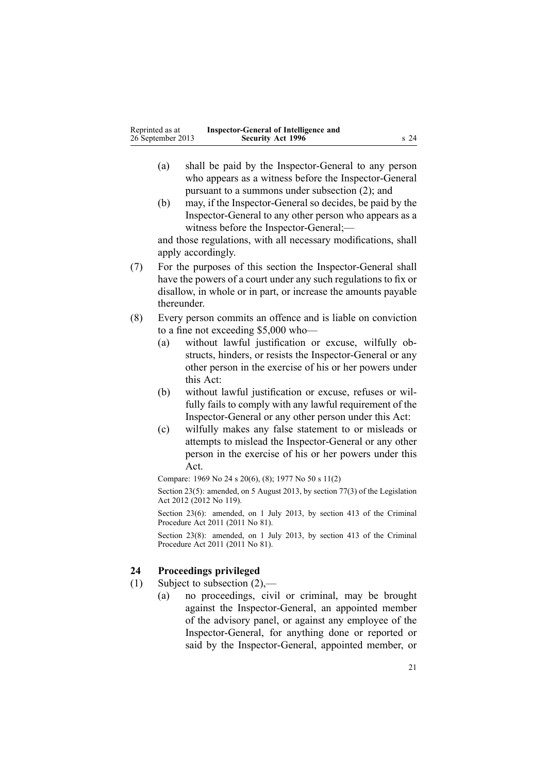<span id="page-20-0"></span>

| Reprinted as at   | Inspector-General of Intelligence and |      |
|-------------------|---------------------------------------|------|
| 26 September 2013 | <b>Security Act 1996</b>              | s 24 |

- (a) shall be paid by the Inspector-General to any person who appears as <sup>a</sup> witness before the Inspector-General pursuan<sup>t</sup> to <sup>a</sup> summons under subsection (2); and
- (b) may, if the Inspector-General so decides, be paid by the Inspector-General to any other person who appears as <sup>a</sup> witness before the Inspector-General;—

and those regulations, with all necessary modifications, shall apply accordingly.

- (7) For the purposes of this section the Inspector-General shall have the powers of <sup>a</sup> court under any such regulations to fix or disallow, in whole or in part, or increase the amounts payable thereunder.
- (8) Every person commits an offence and is liable on conviction to <sup>a</sup> fine not exceeding \$5,000 who—
	- (a) without lawful justification or excuse, wilfully obstructs, hinders, or resists the Inspector-General or any other person in the exercise of his or her powers under this Act:
	- (b) without lawful justification or excuse, refuses or wilfully fails to comply with any lawful requirement of the Inspector-General or any other person under this Act:
	- (c) wilfully makes any false statement to or misleads or attempts to mislead the Inspector-General or any other person in the exercise of his or her powers under this Act.

Compare: 1969 No 24 <sup>s</sup> [20\(6\),](http://www.legislation.govt.nz/pdflink.aspx?id=DLM392040) (8); 1977 No 50 <sup>s</sup> 11(2)

Section 23(5): amended, on 5 August 2013, by [section](http://www.legislation.govt.nz/pdflink.aspx?id=DLM2998633) 77(3) of the Legislation Act 2012 (2012 No 119).

Section 23(6): amended, on 1 July 2013, by [section](http://www.legislation.govt.nz/pdflink.aspx?id=DLM3360714) 413 of the Criminal Procedure Act 2011 (2011 No 81).

Section 23(8): amended, on 1 July 2013, by [section](http://www.legislation.govt.nz/pdflink.aspx?id=DLM3360714) 413 of the Criminal Procedure Act 2011 (2011 No 81).

## **24 Proceedings privileged**

- (1) Subject to subsection (2),—
	- (a) no proceedings, civil or criminal, may be brought against the Inspector-General, an appointed member of the advisory panel, or against any employee of the Inspector-General, for anything done or reported or said by the Inspector-General, appointed member, or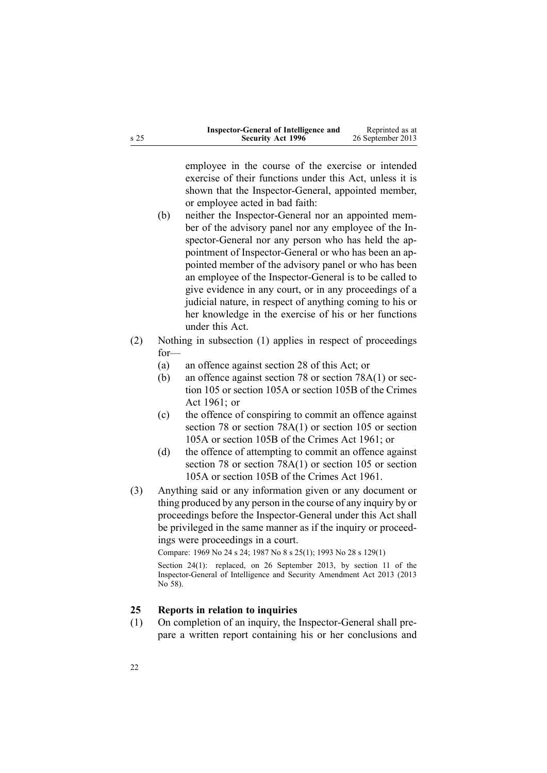| Inspector-General of Intelligence and | Reprinted as at   |
|---------------------------------------|-------------------|
| <b>Security Act 1996</b>              | 26 September 2013 |

employee in the course of the exercise or intended exercise of their functions under this Act, unless it is shown that the Inspector-General, appointed member, or employee acted in bad faith:

- (b) neither the Inspector-General nor an appointed member of the advisory panel nor any employee of the Inspector-General nor any person who has held the appointment of Inspector-General or who has been an appointed member of the advisory panel or who has been an employee of the Inspector-General is to be called to give evidence in any court, or in any proceedings of <sup>a</sup> judicial nature, in respec<sup>t</sup> of anything coming to his or her knowledge in the exercise of his or her functions under this Act.
- (2) Nothing in subsection (1) applies in respec<sup>t</sup> of proceedings for—
	- (a) an offence against [section](#page-27-0) 28 of this Act; or
	- (b) an offence against [section](http://www.legislation.govt.nz/pdflink.aspx?id=DLM328526) 78 or section [78A\(1\)](http://www.legislation.govt.nz/pdflink.aspx?id=DLM328528) or [sec](http://www.legislation.govt.nz/pdflink.aspx?id=DLM328753)[tion](http://www.legislation.govt.nz/pdflink.aspx?id=DLM328753) 105 or [section](http://www.legislation.govt.nz/pdflink.aspx?id=DLM328755) 105A or [section](http://www.legislation.govt.nz/pdflink.aspx?id=DLM328758) 105B of the Crimes Act 1961; or
	- (c) the offence of conspiring to commit an offence against [section](http://www.legislation.govt.nz/pdflink.aspx?id=DLM328526) 78 or section [78A\(1\)](http://www.legislation.govt.nz/pdflink.aspx?id=DLM328528) or [section](http://www.legislation.govt.nz/pdflink.aspx?id=DLM328753) 105 or [section](http://www.legislation.govt.nz/pdflink.aspx?id=DLM328755) [105A](http://www.legislation.govt.nz/pdflink.aspx?id=DLM328755) or [section](http://www.legislation.govt.nz/pdflink.aspx?id=DLM328758) 105B of the Crimes Act 1961; or
	- (d) the offence of attempting to commit an offence against [section](http://www.legislation.govt.nz/pdflink.aspx?id=DLM328526) 78 or section [78A\(1\)](http://www.legislation.govt.nz/pdflink.aspx?id=DLM328528) or [section](http://www.legislation.govt.nz/pdflink.aspx?id=DLM328753) 105 or [section](http://www.legislation.govt.nz/pdflink.aspx?id=DLM328755) [105A](http://www.legislation.govt.nz/pdflink.aspx?id=DLM328755) or [section](http://www.legislation.govt.nz/pdflink.aspx?id=DLM328758) 105B of the Crimes Act 1961.
- (3) Anything said or any information given or any document or thing produced by any person in the course of any inquiry by or proceedings before the Inspector-General under this Act shall be privileged in the same manner as if the inquiry or proceedings were proceedings in <sup>a</sup> court.

Compare: 1969 No 24 <sup>s</sup> [24](http://www.legislation.govt.nz/pdflink.aspx?id=DLM392056); 1987 No 8 <sup>s</sup> [25\(1\)](http://www.legislation.govt.nz/pdflink.aspx?id=DLM101353); 1993 No 28 <sup>s</sup> [129\(1\)](http://www.legislation.govt.nz/pdflink.aspx?id=DLM298439)

Section 24(1): replaced, on 26 September 2013, by [section](http://www.legislation.govt.nz/pdflink.aspx?id=DLM5495932) 11 of the Inspector-General of Intelligence and Security Amendment Act 2013 (2013 No 58).

# **25 Reports in relation to inquiries**

(1) On completion of an inquiry, the Inspector-General shall prepare <sup>a</sup> written repor<sup>t</sup> containing his or her conclusions and

<span id="page-21-0"></span><sup>s</sup> 25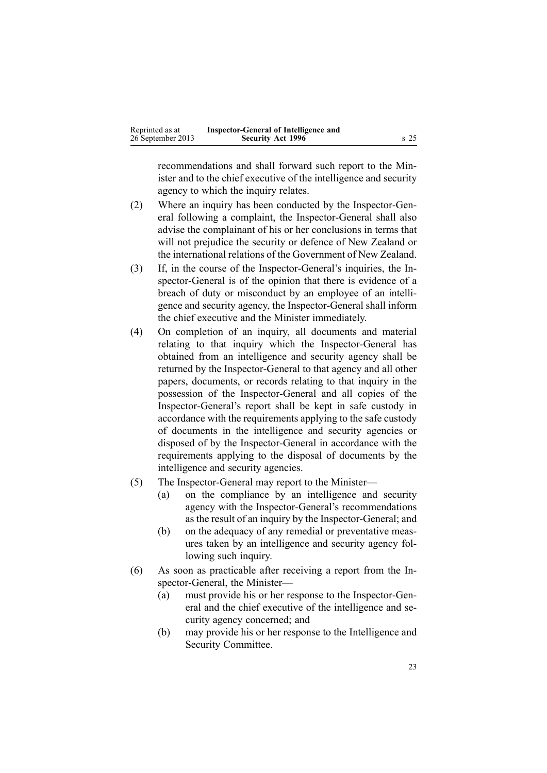recommendations and shall forward such repor<sup>t</sup> to the Minister and to the chief executive of the intelligence and security agency to which the inquiry relates.

- (2) Where an inquiry has been conducted by the Inspector-General following <sup>a</sup> complaint, the Inspector-General shall also advise the complainant of his or her conclusions in terms that will not prejudice the security or defence of New Zealand or the international relations of the Government of New Zealand.
- (3) If, in the course of the Inspector-General's inquiries, the Inspector-General is of the opinion that there is evidence of <sup>a</sup> breach of duty or misconduct by an employee of an intelligence and security agency, the Inspector-General shall inform the chief executive and the Minister immediately.
- (4) On completion of an inquiry, all documents and material relating to that inquiry which the Inspector-General has obtained from an intelligence and security agency shall be returned by the Inspector-General to that agency and all other papers, documents, or records relating to that inquiry in the possession of the Inspector-General and all copies of the Inspector-General's repor<sup>t</sup> shall be kept in safe custody in accordance with the requirements applying to the safe custody of documents in the intelligence and security agencies or disposed of by the Inspector-General in accordance with the requirements applying to the disposal of documents by the intelligence and security agencies.
- (5) The Inspector-General may repor<sup>t</sup> to the Minister—
	- (a) on the compliance by an intelligence and security agency with the Inspector-General's recommendations as the result of an inquiry by the Inspector-General; and
	- (b) on the adequacy of any remedial or preventative measures taken by an intelligence and security agency following such inquiry.
- (6) As soon as practicable after receiving <sup>a</sup> repor<sup>t</sup> from the Inspector-General, the Minister—
	- (a) must provide his or her response to the Inspector-General and the chief executive of the intelligence and security agency concerned; and
	- (b) may provide his or her response to the Intelligence and Security Committee.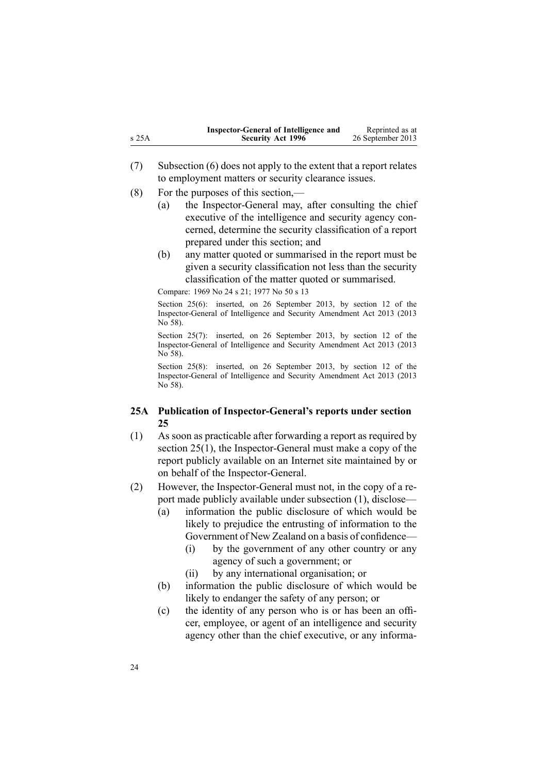<span id="page-23-0"></span>

|       | Inspector-General of Intelligence and | Reprinted as at   |
|-------|---------------------------------------|-------------------|
| s 25A | <b>Security Act 1996</b>              | 26 September 2013 |

- (7) Subsection (6) does not apply to the extent that <sup>a</sup> repor<sup>t</sup> relates to employment matters or security clearance issues.
- (8) For the purposes of this section,—
	- (a) the Inspector-General may, after consulting the chief executive of the intelligence and security agency concerned, determine the security classification of <sup>a</sup> repor<sup>t</sup> prepared under this section; and
	- (b) any matter quoted or summarised in the repor<sup>t</sup> must be given <sup>a</sup> security classification not less than the security classification of the matter quoted or summarised.

Compare: 1969 No 24 <sup>s</sup> [21](http://www.legislation.govt.nz/pdflink.aspx?id=DLM392048); 1977 No 50 <sup>s</sup> 13

Section 25(6): inserted, on 26 September 2013, by [section](http://www.legislation.govt.nz/pdflink.aspx?id=DLM5495933) 12 of the Inspector-General of Intelligence and Security Amendment Act 2013 (2013  $\overline{No}$  58).

Section 25(7): inserted, on 26 September 2013, by [section](http://www.legislation.govt.nz/pdflink.aspx?id=DLM5495933) 12 of the Inspector-General of Intelligence and Security Amendment Act 2013 (2013 No 58).

Section 25(8): inserted, on 26 September 2013, by [section](http://www.legislation.govt.nz/pdflink.aspx?id=DLM5495933) 12 of the Inspector-General of Intelligence and Security Amendment Act 2013 (2013 No 58).

## **25A Publication of Inspector-General's reports under section 25**

- (1) As soon as practicable after forwarding <sup>a</sup> repor<sup>t</sup> as required by [section](#page-21-0) 25(1), the Inspector-General must make <sup>a</sup> copy of the repor<sup>t</sup> publicly available on an Internet site maintained by or on behalf of the Inspector-General.
- (2) However, the Inspector-General must not, in the copy of <sup>a</sup> repor<sup>t</sup> made publicly available under subsection (1), disclose—
	- (a) information the public disclosure of which would be likely to prejudice the entrusting of information to the Government of New Zealand on <sup>a</sup> basis of confidence—
		- (i) by the governmen<sup>t</sup> of any other country or any agency of such <sup>a</sup> government; or
		- (ii) by any international organisation; or
	- (b) information the public disclosure of which would be likely to endanger the safety of any person; or
	- (c) the identity of any person who is or has been an officer, employee, or agen<sup>t</sup> of an intelligence and security agency other than the chief executive, or any informa-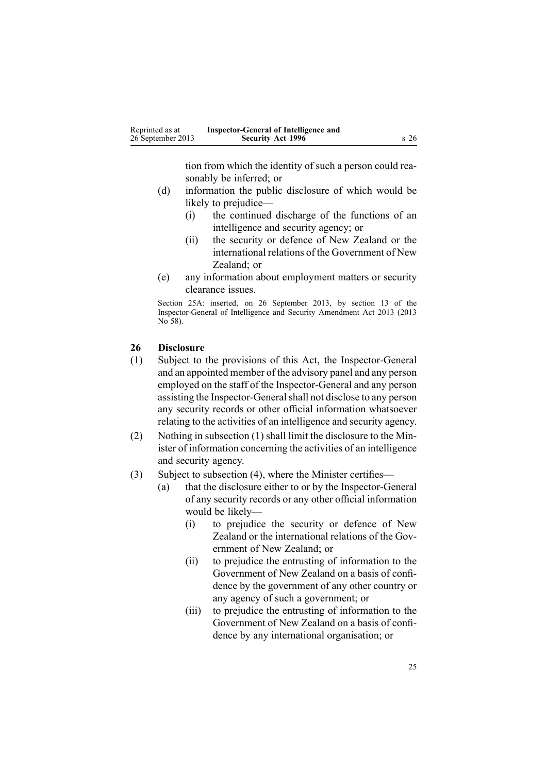tion from which the identity of such <sup>a</sup> person could reasonably be inferred; or

- <span id="page-24-0"></span>(d) information the public disclosure of which would be likely to prejudice—
	- (i) the continued discharge of the functions of an intelligence and security agency; or
	- (ii) the security or defence of New Zealand or the international relations of the Government of New Zealand; or
- (e) any information about employment matters or security clearance issues.

Section 25A: inserted, on 26 September 2013, by [section](http://www.legislation.govt.nz/pdflink.aspx?id=DLM5495934) 13 of the Inspector-General of Intelligence and Security Amendment Act 2013 (2013 No 58).

## **26 Disclosure**

- (1) Subject to the provisions of this Act, the Inspector-General and an appointed member of the advisory panel and any person employed on the staff of the Inspector-General and any person assisting the Inspector-General shall not disclose to any person any security records or other official information whatsoever relating to the activities of an intelligence and security agency.
- (2) Nothing in subsection (1) shall limit the disclosure to the Minister of information concerning the activities of an intelligence and security agency.
- (3) Subject to subsection (4), where the Minister certifies—
	- (a) that the disclosure either to or by the Inspector-General of any security records or any other official information would be likely—
		- (i) to prejudice the security or defence of New Zealand or the international relations of the Government of New Zealand; or
		- (ii) to prejudice the entrusting of information to the Government of New Zealand on <sup>a</sup> basis of confidence by the governmen<sup>t</sup> of any other country or any agency of such <sup>a</sup> government; or
		- (iii) to prejudice the entrusting of information to the Government of New Zealand on <sup>a</sup> basis of confidence by any international organisation; or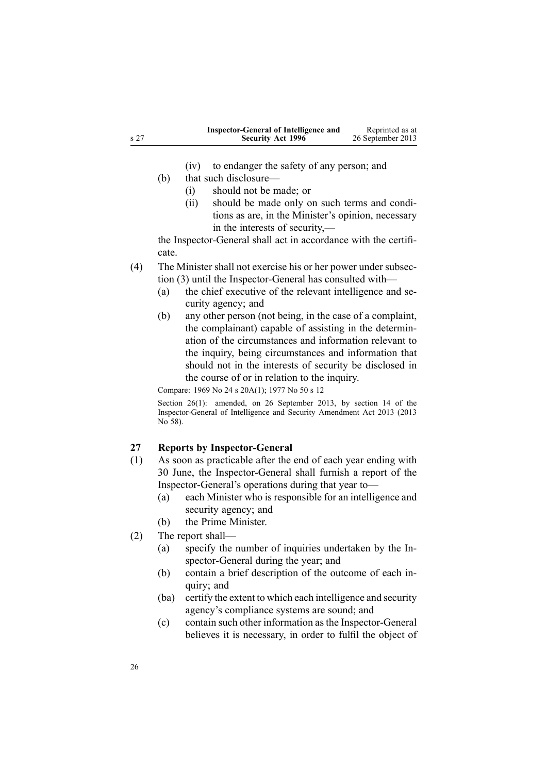<span id="page-25-0"></span>

|      | Inspector-General of Intelligence and | Reprinted as at   |
|------|---------------------------------------|-------------------|
| s 27 | <b>Security Act 1996</b>              | 26 September 2013 |

- (iv) to endanger the safety of any person; and
- (b) that such disclosure—
	- (i) should not be made; or
	- (ii) should be made only on such terms and conditions as are, in the Minister's opinion, necessary in the interests of security,—

the Inspector-General shall act in accordance with the certificate.

- (4) The Minister shall not exercise his or her power under subsection (3) until the Inspector-General has consulted with—
	- (a) the chief executive of the relevant intelligence and security agency; and
	- (b) any other person (not being, in the case of <sup>a</sup> complaint, the complainant) capable of assisting in the determination of the circumstances and information relevant to the inquiry, being circumstances and information that should not in the interests of security be disclosed in the course of or in relation to the inquiry.

Compare: 1969 No 24 <sup>s</sup> [20A\(1\)](http://www.legislation.govt.nz/pdflink.aspx?id=DLM392045); 1977 No 50 <sup>s</sup> 12

Section 26(1): amended, on 26 September 2013, by [section](http://www.legislation.govt.nz/pdflink.aspx?id=DLM5495936) 14 of the Inspector-General of Intelligence and Security Amendment Act 2013 (2013 No 58).

# **27 Reports by Inspector-General**

- (1) As soon as practicable after the end of each year ending with 30 June, the Inspector-General shall furnish <sup>a</sup> repor<sup>t</sup> of the Inspector-General's operations during that year to—
	- (a) each Minister who is responsible for an intelligence and security agency; and
	- (b) the Prime Minister.
- (2) The repor<sup>t</sup> shall—
	- (a) specify the number of inquiries undertaken by the Inspector-General during the year; and
	- (b) contain <sup>a</sup> brief description of the outcome of each inquiry; and
	- (ba) certify the extent to which each intelligence and security agency's compliance systems are sound; and
	- (c) contain such other information asthe Inspector-General believes it is necessary, in order to fulfil the object of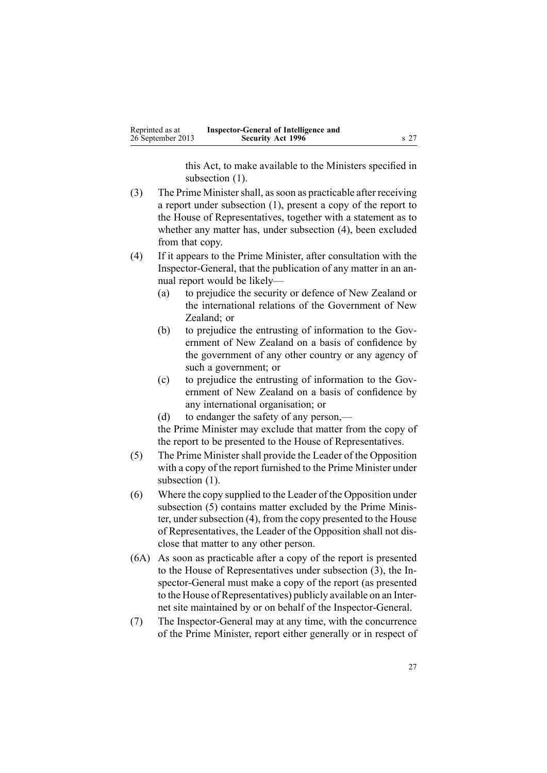this Act, to make available to the Ministers specified in subsection  $(1)$ .

- (3) The Prime Ministershall, assoon as practicable after receiving <sup>a</sup> repor<sup>t</sup> under subsection (1), presen<sup>t</sup> <sup>a</sup> copy of the repor<sup>t</sup> to the House of Representatives, together with <sup>a</sup> statement as to whether any matter has, under subsection (4), been excluded from that copy.
- (4) If it appears to the Prime Minister, after consultation with the Inspector-General, that the publication of any matter in an annual repor<sup>t</sup> would be likely—
	- (a) to prejudice the security or defence of New Zealand or the international relations of the Government of New Zealand: or
	- (b) to prejudice the entrusting of information to the Government of New Zealand on <sup>a</sup> basis of confidence by the governmen<sup>t</sup> of any other country or any agency of such <sup>a</sup> government; or
	- (c) to prejudice the entrusting of information to the Government of New Zealand on <sup>a</sup> basis of confidence by any international organisation; or
	- (d) to endanger the safety of any person,—

the Prime Minister may exclude that matter from the copy of the repor<sup>t</sup> to be presented to the House of Representatives.

- (5) The Prime Minister shall provide the Leader of the Opposition with <sup>a</sup> copy of the repor<sup>t</sup> furnished to the Prime Minister under subsection  $(1)$ .
- (6) Where the copy supplied to the Leader of the Opposition under subsection (5) contains matter excluded by the Prime Minister, under subsection  $(4)$ , from the copy presented to the House of Representatives, the Leader of the Opposition shall not disclose that matter to any other person.
- (6A) As soon as practicable after <sup>a</sup> copy of the repor<sup>t</sup> is presented to the House of Representatives under subsection (3), the Inspector-General must make <sup>a</sup> copy of the repor<sup>t</sup> (as presented to the House of Representatives) publicly available on an Internet site maintained by or on behalf of the Inspector-General.
- (7) The Inspector-General may at any time, with the concurrence of the Prime Minister, repor<sup>t</sup> either generally or in respec<sup>t</sup> of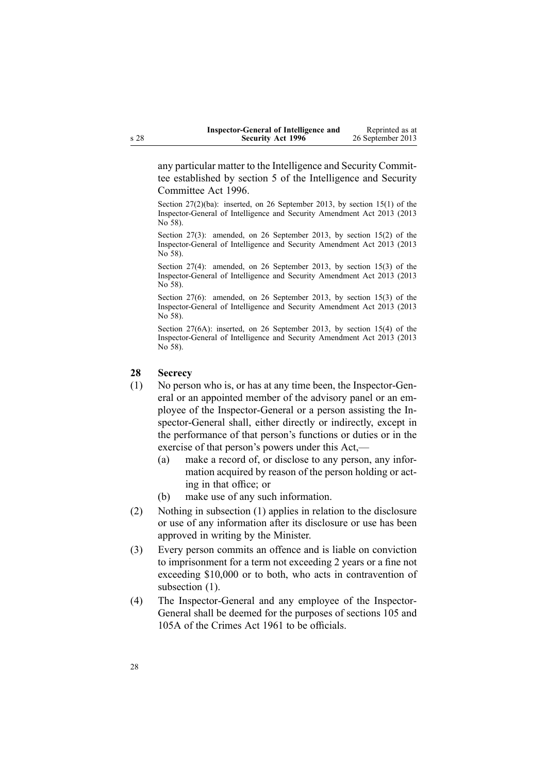<span id="page-27-0"></span>any particular matter to the Intelligence and Security Committee established by [section](http://www.legislation.govt.nz/pdflink.aspx?id=DLM392266) 5 of the Intelligence and Security Committee Act 1996.

Section 27(2)(ba): inserted, on 26 September 2013, by [section](http://www.legislation.govt.nz/pdflink.aspx?id=DLM5495937) 15(1) of the Inspector-General of Intelligence and Security Amendment Act 2013 (2013 No 58).

Section 27(3): amended, on 26 September 2013, by [section](http://www.legislation.govt.nz/pdflink.aspx?id=DLM5495937) 15(2) of the Inspector-General of Intelligence and Security Amendment Act 2013 (2013 No 58).

Section 27(4): amended, on 26 September 2013, by [section](http://www.legislation.govt.nz/pdflink.aspx?id=DLM5495937) 15(3) of the Inspector-General of Intelligence and Security Amendment Act 2013 (2013 No 58).

Section 27(6): amended, on 26 September 2013, by [section](http://www.legislation.govt.nz/pdflink.aspx?id=DLM5495937) 15(3) of the Inspector-General of Intelligence and Security Amendment Act 2013 (2013 No 58).

Section 27(6A): inserted, on 26 September 2013, by [section](http://www.legislation.govt.nz/pdflink.aspx?id=DLM5495937) 15(4) of the Inspector-General of Intelligence and Security Amendment Act 2013 (2013 No 58).

#### **28 Secrecy**

- (1) No person who is, or has at any time been, the Inspector-General or an appointed member of the advisory panel or an employee of the Inspector-General or <sup>a</sup> person assisting the Inspector-General shall, either directly or indirectly, excep<sup>t</sup> in the performance of that person's functions or duties or in the exercise of that person's powers under this Act,—
	- (a) make <sup>a</sup> record of, or disclose to any person, any information acquired by reason of the person holding or acting in that office; or
	- (b) make use of any such information.
- (2) Nothing in subsection (1) applies in relation to the disclosure or use of any information after its disclosure or use has been approved in writing by the Minister.
- (3) Every person commits an offence and is liable on conviction to imprisonment for <sup>a</sup> term not exceeding 2 years or <sup>a</sup> fine not exceeding \$10,000 or to both, who acts in contravention of subsection  $(1)$ .
- (4) The Inspector-General and any employee of the Inspector-General shall be deemed for the purposes of [sections](http://www.legislation.govt.nz/pdflink.aspx?id=DLM328753) 105 and [105A](http://www.legislation.govt.nz/pdflink.aspx?id=DLM328755) of the Crimes Act 1961 to be officials.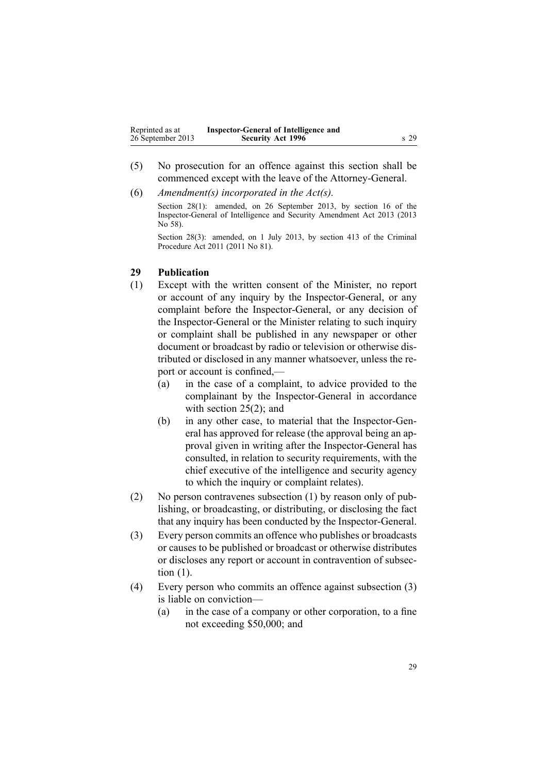<span id="page-28-0"></span>

| Reprinted as at   | Inspector-General of Intelligence and |      |
|-------------------|---------------------------------------|------|
| 26 September 2013 | <b>Security Act 1996</b>              | s 29 |

- (5) No prosecution for an offence against this section shall be commenced excep<sup>t</sup> with the leave of the Attorney-General.
- (6) *Amendment(s) incorporated in the [Act\(s\).](http://www.legislation.govt.nz/pdflink.aspx?id=DLM311185)* Section 28(1): amended, on 26 September 2013, by [section](http://www.legislation.govt.nz/pdflink.aspx?id=DLM5495938) 16 of the Inspector-General of Intelligence and Security Amendment Act 2013 (2013 No 58).

Section 28(3): amended, on 1 July 2013, by [section](http://www.legislation.govt.nz/pdflink.aspx?id=DLM3360714) 413 of the Criminal Procedure Act 2011 (2011 No 81).

## **29 Publication**

- (1) Except with the written consent of the Minister, no repor<sup>t</sup> or account of any inquiry by the Inspector-General, or any complaint before the Inspector-General, or any decision of the Inspector-General or the Minister relating to such inquiry or complaint shall be published in any newspaper or other document or broadcast by radio or television or otherwise distributed or disclosed in any manner whatsoever, unless the repor<sup>t</sup> or account is confined,—
	- (a) in the case of <sup>a</sup> complaint, to advice provided to the complainant by the Inspector-General in accordance with [section](#page-21-0) 25(2); and
	- (b) in any other case, to material that the Inspector-General has approved for release (the approval being an approval given in writing after the Inspector-General has consulted, in relation to security requirements, with the chief executive of the intelligence and security agency to which the inquiry or complaint relates).
- (2) No person contravenes subsection (1) by reason only of publishing, or broadcasting, or distributing, or disclosing the fact that any inquiry has been conducted by the Inspector-General.
- (3) Every person commits an offence who publishes or broadcasts or causes to be published or broadcast or otherwise distributes or discloses any repor<sup>t</sup> or account in contravention of subsection (1).
- (4) Every person who commits an offence against subsection (3) is liable on conviction—
	- (a) in the case of <sup>a</sup> company or other corporation, to <sup>a</sup> fine not exceeding \$50,000; and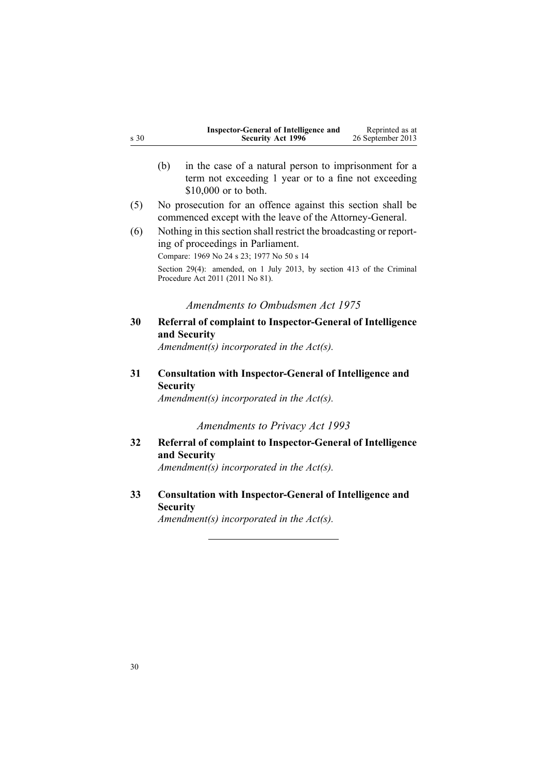<span id="page-29-0"></span>

| s 30 |                 | <b>Inspector-General of Intelligence and</b><br>Security Act 1996                                                                                                                                                                                                  | Reprinted as at<br>26 September 2013 |
|------|-----------------|--------------------------------------------------------------------------------------------------------------------------------------------------------------------------------------------------------------------------------------------------------------------|--------------------------------------|
|      | (b)             | in the case of a natural person to imprisonment for a<br>term not exceeding 1 year or to a fine not exceeding<br>\$10,000 or to both.                                                                                                                              |                                      |
| (5)  |                 | No prosecution for an offence against this section shall be<br>commenced except with the leave of the Attorney-General.                                                                                                                                            |                                      |
| (6)  |                 | Nothing in this section shall restrict the broadcasting or report-<br>ing of proceedings in Parliament.<br>Compare: 1969 No 24 s 23; 1977 No 50 s 14<br>Section 29(4): amended, on 1 July 2013, by section 413 of the Criminal<br>Procedure Act 2011 (2011 No 81). |                                      |
|      |                 | Amendments to Ombudsmen Act 1975                                                                                                                                                                                                                                   |                                      |
| 30   |                 | Referral of complaint to Inspector-General of Intelligence<br>and Security<br>Amendment(s) incorporated in the $Act(s)$ .                                                                                                                                          |                                      |
| 31   | <b>Security</b> | <b>Consultation with Inspector-General of Intelligence and</b><br>Amendment(s) incorporated in the $Act(s)$ .                                                                                                                                                      |                                      |
|      |                 | <b>Amendments to Privacy Act 1993</b>                                                                                                                                                                                                                              |                                      |
| 32   |                 | Referral of complaint to Inspector-General of Intelligence<br>and Security<br>Amendment(s) incorporated in the $Act(s)$ .                                                                                                                                          |                                      |
|      |                 | <b>Consultation with Inspector-General of Intelligence and</b>                                                                                                                                                                                                     |                                      |
| 33   | <b>Security</b> |                                                                                                                                                                                                                                                                    |                                      |

30